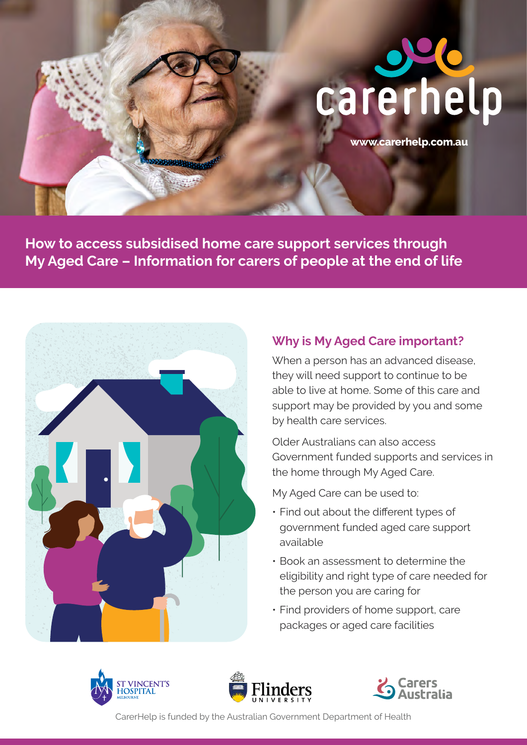# carerhel

**[www.carerhelp.com.au](http://www.carerhelp.com.au)**

**How to access subsidised home care support services through My Aged Care – Information for carers of people at the end of life** 



# **Why is My Aged Care important?**

When a person has an advanced disease, they will need support to continue to be able to live at home. Some of this care and support may be provided by you and some by health care services.

Older Australians can also access Government funded supports and services in the home through My Aged Care.

My Aged Care can be used to:

- Find out about the different types of government funded aged care support available
- the person you are caring for • Book an assessment to determine the eligibility and right type of care needed for
- **Find providers of home support, care** packages or aged care facilities







CarerHelp is funded by the Australian Government Department of Health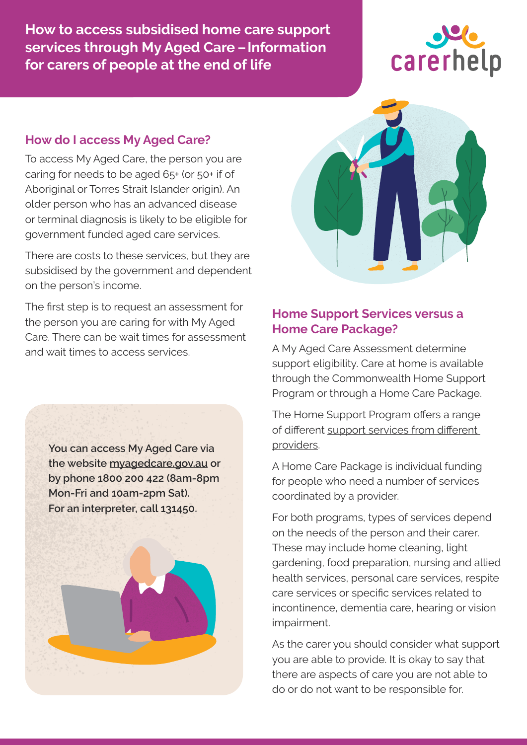**How to access subsidised home care support services through My Aged Care –Information for carers of people at the end of life** 



#### **How do I access My Aged Care?**

To access My Aged Care, the person you are caring for needs to be aged 65+ (or 50+ if of Aboriginal or Torres Strait Islander origin). An older person who has an advanced disease or terminal diagnosis is likely to be eligible for government funded aged care services.

There are costs to these services, but they are subsidised by the government and dependent on the person's income.

 the person you are caring for with My Aged The first step is to request an assessment for Care. There can be wait times for assessment and wait times to access services.

> **You can access My Aged Care via the website [myagedcare.gov.au](http://myagedcare.gov.au) or by phone 1800 200 422 (8am-8pm Mon-Fri and 10am-2pm Sat). For an interpreter, call 131450.**





#### **Home Support Services versus a Home Care Package?**

A My Aged Care Assessment determine support eligibility. Care at home is available through the Commonwealth Home Support Program or through a Home Care Package.

The Home Support Program offers a range of different support services from different [providers](https://www.myagedcare.gov.au/help-at-home/commonwealth-home-support-programme).

A Home Care Package is individual funding for people who need a number of services coordinated by a provider.

For both programs, types of services depend on the needs of the person and their carer. These may include home cleaning, light gardening, food preparation, nursing and allied health services, personal care services, respite care services or specific services related to incontinence, dementia care, hearing or vision impairment.

As the carer you should consider what support you are able to provide. It is okay to say that there are aspects of care you are not able to do or do not want to be responsible for.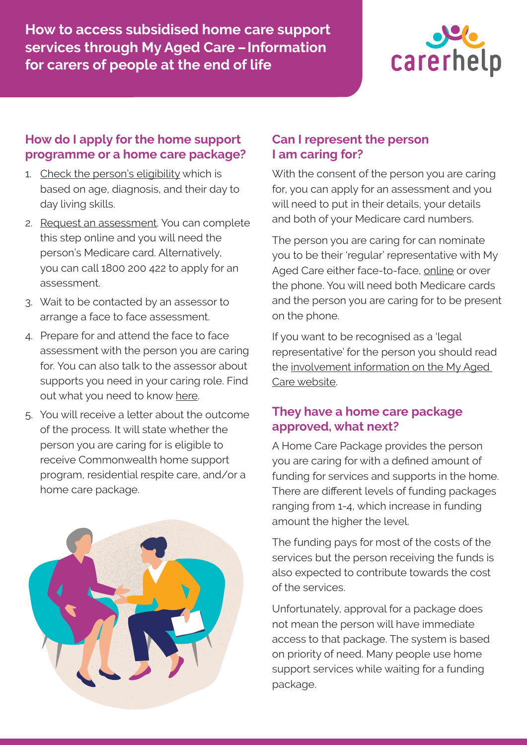**How to access subsidised home care support services through My Aged Care –Information for carers of people at the end of life** 



#### **How do I apply for the home support programme or a home care package?**

- 1. [Check the person's eligibility](https://www.myagedcare.gov.au/am-i-eligible) which is based on age, diagnosis, and their day to day living skills.
- 2. [Request an assessment](https://www.myagedcare.gov.au/assessment/apply-online). You can complete this step online and you will need the person's Medicare card. Alternatively, you can call 1800 200 422 to apply for an assessment.
- 3. Wait to be contacted by an assessor to arrange a face to face assessment.
- 4. Prepare for and attend the face to face assessment with the person you are caring for. You can also talk to the assessor about supports you need in your caring role. Find out what you need to know [here](https://www.myagedcare.gov.au/assessment/prepare-your-assessment).
- 5. You will receive a letter about the outcome of the process. It will state whether the person you are caring for is eligible to receive Commonwealth home support program, residential respite care, and/or a home care package.



### **Can I represent the person I am caring for?**

With the consent of the person you are caring for, you can apply for an assessment and you will need to put in their details, your details and both of your Medicare card numbers.

The person you are caring for can nominate you to be their 'regular' representative with My Aged Care either face-to-face, [online](https://www.myagedcare.gov.au/appointing-representative) or over the phone. You will need both Medicare cards and the person you are caring for to be present on the phone.

If you want to be recognised as a 'legal representative' for the person you should read the [involvement information on the My Aged](https://www.myagedcare.gov.au/appointing-representative)  [Care website](https://www.myagedcare.gov.au/appointing-representative).

### **They have a home care package approved, what next?**

A Home Care Package provides the person you are caring for with a defined amount of funding for services and supports in the home. There are different levels of funding packages ranging from 1-4, which increase in funding amount the higher the level.

The funding pays for most of the costs of the services but the person receiving the funds is also expected to contribute towards the cost of the services.

Unfortunately, approval for a package does not mean the person will have immediate access to that package. The system is based on priority of need. Many people use home support services while waiting for a funding package.